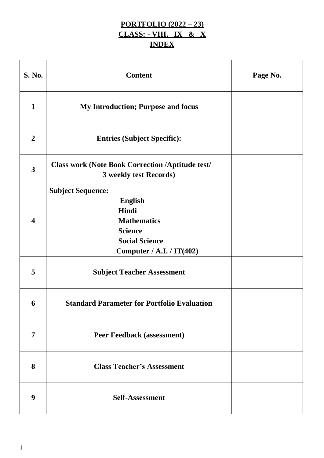# **PORTFOLIO (2022 – 23) CLASS: - VIII, IX & X INDEX**

| S. No.                  | <b>Content</b>                                                                                                       | Page No. |
|-------------------------|----------------------------------------------------------------------------------------------------------------------|----------|
| $\mathbf{1}$            | <b>My Introduction; Purpose and focus</b>                                                                            |          |
| $\boldsymbol{2}$        | <b>Entries (Subject Specific):</b>                                                                                   |          |
| $\overline{\mathbf{3}}$ | <b>Class work (Note Book Correction /Aptitude test/</b><br>3 weekly test Records)                                    |          |
| 4                       | <b>Subject Sequence:</b><br><b>English</b><br>Hindi<br><b>Mathematics</b><br><b>Science</b><br><b>Social Science</b> |          |
|                         | Computer / A.I. / IT(402)                                                                                            |          |
| 5                       | <b>Subject Teacher Assessment</b>                                                                                    |          |
| 6                       | <b>Standard Parameter for Portfolio Evaluation</b>                                                                   |          |
| 7                       | <b>Peer Feedback (assessment)</b>                                                                                    |          |
| 8                       | <b>Class Teacher's Assessment</b>                                                                                    |          |
| 9                       | <b>Self-Assessment</b>                                                                                               |          |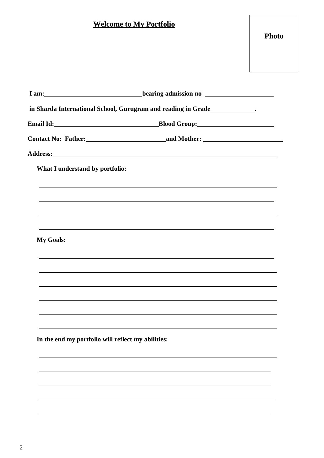# **Welcome to My Portfolio**

|                                                    | I am: hearing admission no |
|----------------------------------------------------|----------------------------|
|                                                    |                            |
|                                                    |                            |
|                                                    |                            |
|                                                    |                            |
| What I understand by portfolio:                    |                            |
|                                                    |                            |
|                                                    |                            |
|                                                    |                            |
|                                                    |                            |
| <b>My Goals:</b>                                   |                            |
|                                                    |                            |
|                                                    |                            |
|                                                    |                            |
|                                                    |                            |
|                                                    |                            |
| In the end my portfolio will reflect my abilities: |                            |
|                                                    |                            |
|                                                    |                            |
|                                                    |                            |
|                                                    |                            |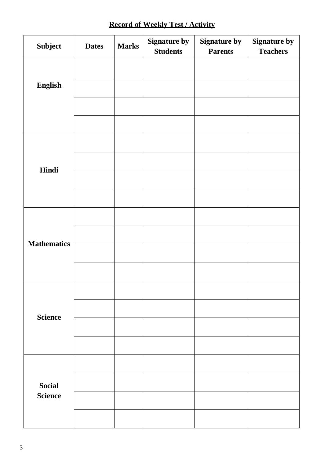# **Record of Weekly Test / Activity**

| <b>Subject</b>     | <b>Dates</b> | <b>Marks</b> | <b>Signature by</b><br><b>Students</b> | <b>Signature by</b><br><b>Parents</b> | <b>Signature by</b><br><b>Teachers</b> |
|--------------------|--------------|--------------|----------------------------------------|---------------------------------------|----------------------------------------|
|                    |              |              |                                        |                                       |                                        |
| English            |              |              |                                        |                                       |                                        |
|                    |              |              |                                        |                                       |                                        |
|                    |              |              |                                        |                                       |                                        |
|                    |              |              |                                        |                                       |                                        |
| Hindi              |              |              |                                        |                                       |                                        |
|                    |              |              |                                        |                                       |                                        |
|                    |              |              |                                        |                                       |                                        |
|                    |              |              |                                        |                                       |                                        |
| <b>Mathematics</b> |              |              |                                        |                                       |                                        |
|                    |              |              |                                        |                                       |                                        |
|                    |              |              |                                        |                                       |                                        |
|                    |              |              |                                        |                                       |                                        |
| <b>Science</b>     |              |              |                                        |                                       |                                        |
|                    |              |              |                                        |                                       |                                        |
|                    |              |              |                                        |                                       |                                        |
|                    |              |              |                                        |                                       |                                        |
| <b>Social</b>      |              |              |                                        |                                       |                                        |
| <b>Science</b>     |              |              |                                        |                                       |                                        |
|                    |              |              |                                        |                                       |                                        |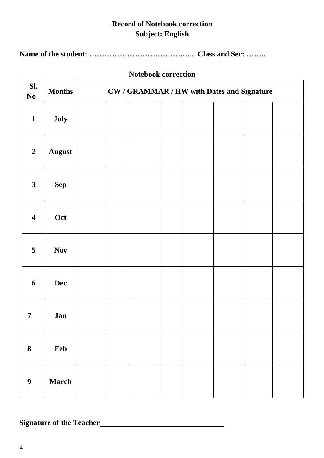# **Record of Notebook correction Subject: English**

**Name of the student: ……………………………….….. Class and Sec: ……..**

## **Notebook correction**

| SI.<br>$\bf No$         | <b>Months</b> | <b>CW / GRAMMAR / HW with Dates and Signature</b> |  |  |  |  |  |  |
|-------------------------|---------------|---------------------------------------------------|--|--|--|--|--|--|
| $\mathbf{1}$            | July          |                                                   |  |  |  |  |  |  |
| $\boldsymbol{2}$        | <b>August</b> |                                                   |  |  |  |  |  |  |
| $\mathbf{3}$            | <b>Sep</b>    |                                                   |  |  |  |  |  |  |
| $\overline{\mathbf{4}}$ | Oct           |                                                   |  |  |  |  |  |  |
| 5                       | <b>Nov</b>    |                                                   |  |  |  |  |  |  |
| 6                       | <b>Dec</b>    |                                                   |  |  |  |  |  |  |
| 7                       | Jan           |                                                   |  |  |  |  |  |  |
| $\bf 8$                 | Feb           |                                                   |  |  |  |  |  |  |
| $\boldsymbol{9}$        | <b>March</b>  |                                                   |  |  |  |  |  |  |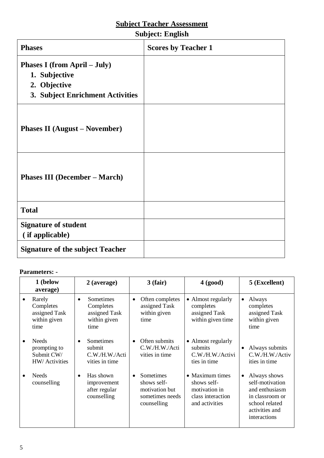### **Subject: English**

| <b>Phases</b>                                                                                            | <b>Scores by Teacher 1</b> |
|----------------------------------------------------------------------------------------------------------|----------------------------|
| <b>Phases I</b> (from April – July)<br>1. Subjective<br>2. Objective<br>3. Subject Enrichment Activities |                            |
| <b>Phases II</b> (August – November)                                                                     |                            |
| <b>Phases III (December – March)</b>                                                                     |                            |
| <b>Total</b>                                                                                             |                            |
| <b>Signature of student</b><br>(if applicable)                                                           |                            |
| <b>Signature of the subject Teacher</b>                                                                  |                            |

| 1 (below<br>average)                                         | 2 (average)                                                          | $3$ (fair)                                                                   | 4 (good)                                                                               | 5 (Excellent)                                                                                                                         |
|--------------------------------------------------------------|----------------------------------------------------------------------|------------------------------------------------------------------------------|----------------------------------------------------------------------------------------|---------------------------------------------------------------------------------------------------------------------------------------|
| Rarely<br>Completes<br>assigned Task<br>within given<br>time | Sometimes<br>٠<br>Completes<br>assigned Task<br>within given<br>time | Often completes<br>$\bullet$<br>assigned Task<br>within given<br>time        | • Almost regularly<br>completes<br>assigned Task<br>within given time                  | Always<br>$\bullet$<br>completes<br>assigned Task<br>within given<br>time                                                             |
| Needs<br>prompting to<br>Submit CW/<br>HW/ Activities        | Sometimes<br>٠<br>submit<br>C.W./H.W./Acti<br>vities in time         | Often submits<br>$\bullet$<br>C.W./H.W./Acti<br>vities in time               | • Almost regularly<br>submits<br>C.W./H.W./Activi<br>ties in time                      | Always submits<br>C.W./H.W./Activ<br>ities in time                                                                                    |
| <b>Needs</b><br>counselling                                  | Has shown<br>٠<br>improvement<br>after regular<br>counselling        | Sometimes<br>shows self-<br>motivation but<br>sometimes needs<br>counselling | • Maximum times<br>shows self-<br>motivation in<br>class interaction<br>and activities | Always shows<br>$\bullet$<br>self-motivation<br>and enthusiasm<br>in classroom or<br>school related<br>activities and<br>interactions |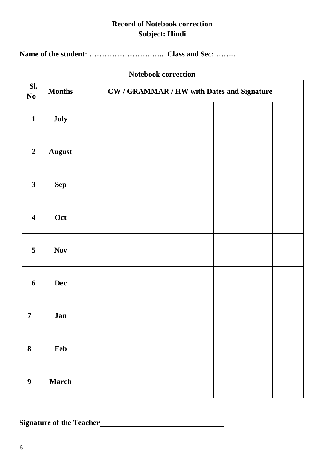# **Record of Notebook correction Subject: Hindi**

**Name of the student: …………………….….. Class and Sec: ……..**

### **Notebook correction**

| SI.<br>$\bf No$         | <b>Months</b> | <b>CW / GRAMMAR / HW with Dates and Signature</b> |  |  |  |  |  |  |
|-------------------------|---------------|---------------------------------------------------|--|--|--|--|--|--|
| $\mathbf{1}$            | July          |                                                   |  |  |  |  |  |  |
| $\boldsymbol{2}$        | <b>August</b> |                                                   |  |  |  |  |  |  |
| $\mathbf{3}$            | <b>Sep</b>    |                                                   |  |  |  |  |  |  |
| $\overline{\mathbf{4}}$ | Oct           |                                                   |  |  |  |  |  |  |
| 5                       | <b>Nov</b>    |                                                   |  |  |  |  |  |  |
| 6                       | <b>Dec</b>    |                                                   |  |  |  |  |  |  |
| 7                       | Jan           |                                                   |  |  |  |  |  |  |
| $\boldsymbol{8}$        | Feb           |                                                   |  |  |  |  |  |  |
| $\boldsymbol{9}$        | <b>March</b>  |                                                   |  |  |  |  |  |  |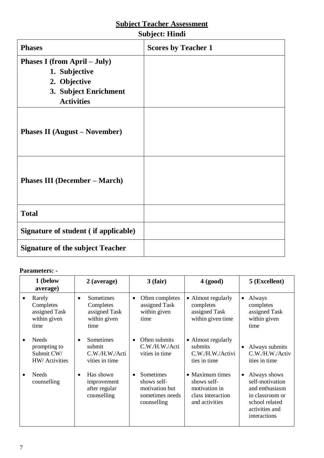| <b>Subject: Hindi</b> |  |
|-----------------------|--|
|                       |  |

| <b>Phases</b>                                                                                               | <b>Scores by Teacher 1</b> |
|-------------------------------------------------------------------------------------------------------------|----------------------------|
| Phases I (from April - July)<br>1. Subjective<br>2. Objective<br>3. Subject Enrichment<br><b>Activities</b> |                            |
| <b>Phases II</b> (August – November)                                                                        |                            |
| <b>Phases III (December – March)</b>                                                                        |                            |
| <b>Total</b>                                                                                                |                            |
| Signature of student (if applicable)                                                                        |                            |
| <b>Signature of the subject Teacher</b>                                                                     |                            |

| 1 (below<br>2 (average)<br>average)                          |                                                                              | 3(fair)                                                                      | 4 (good)                                                                               | 5 (Excellent)                                                                                                                         |
|--------------------------------------------------------------|------------------------------------------------------------------------------|------------------------------------------------------------------------------|----------------------------------------------------------------------------------------|---------------------------------------------------------------------------------------------------------------------------------------|
| Rarely<br>Completes<br>assigned Task<br>within given<br>time | Sometimes<br>$\bullet$<br>Completes<br>assigned Task<br>within given<br>time | Often completes<br>٠<br>assigned Task<br>within given<br>time                | • Almost regularly<br>completes<br>assigned Task<br>within given time                  | Always<br>$\bullet$<br>completes<br>assigned Task<br>within given<br>time                                                             |
| Needs<br>prompting to<br>Submit CW/<br>HW/ Activities        | Sometimes<br>٠<br>submit<br>C.W./H.W./Acti<br>vities in time                 | Often submits<br>$\bullet$<br>C.W./H.W./Acti<br>vities in time               | • Almost regularly<br>submits<br>C.W./H.W./Activi<br>ties in time                      | Always submits<br>C.W./H.W./Activ<br>ities in time                                                                                    |
| Needs<br>counselling                                         | Has shown<br>$\bullet$<br>improvement<br>after regular<br>counselling        | Sometimes<br>shows self-<br>motivation but<br>sometimes needs<br>counselling | • Maximum times<br>shows self-<br>motivation in<br>class interaction<br>and activities | Always shows<br>$\bullet$<br>self-motivation<br>and enthusiasm<br>in classroom or<br>school related<br>activities and<br>interactions |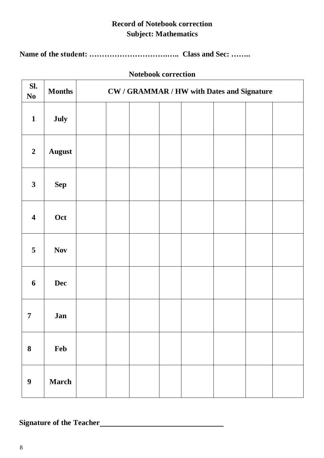# **Record of Notebook correction Subject: Mathematics**

**Name of the student: ………………………….….. Class and Sec: ……..**

## **Notebook correction**

|                         |               | THUICDUUN CULLECHUIL                              |  |  |  |  |  |
|-------------------------|---------------|---------------------------------------------------|--|--|--|--|--|
| SI.<br>$\bf No$         | <b>Months</b> | <b>CW / GRAMMAR / HW with Dates and Signature</b> |  |  |  |  |  |
| $\mathbf{1}$            | July          |                                                   |  |  |  |  |  |
| $\boldsymbol{2}$        | <b>August</b> |                                                   |  |  |  |  |  |
| $\mathbf{3}$            | <b>Sep</b>    |                                                   |  |  |  |  |  |
| $\overline{\mathbf{4}}$ | Oct           |                                                   |  |  |  |  |  |
| 5                       | <b>Nov</b>    |                                                   |  |  |  |  |  |
| 6                       | <b>Dec</b>    |                                                   |  |  |  |  |  |
| 7                       | Jan           |                                                   |  |  |  |  |  |
| $\bf{8}$                | Feb           |                                                   |  |  |  |  |  |
| $\boldsymbol{9}$        | <b>March</b>  |                                                   |  |  |  |  |  |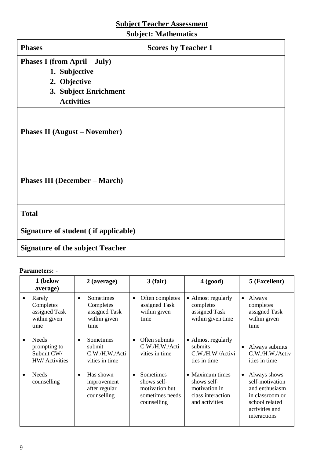# **Subject: Mathematics**

| <b>Phases</b>                           | <b>Scores by Teacher 1</b> |
|-----------------------------------------|----------------------------|
| Phases I (from April – July)            |                            |
| 1. Subjective                           |                            |
| 2. Objective                            |                            |
| 3. Subject Enrichment                   |                            |
| <b>Activities</b>                       |                            |
| <b>Phases II</b> (August – November)    |                            |
| <b>Phases III (December – March)</b>    |                            |
| <b>Total</b>                            |                            |
| Signature of student (if applicable)    |                            |
| <b>Signature of the subject Teacher</b> |                            |

| 1 (below<br>average)                                         | $2$ (average)                                                                | 3(fair)                                                                      | 4 (good)                                                                               | 5 (Excellent)                                                                                                                         |
|--------------------------------------------------------------|------------------------------------------------------------------------------|------------------------------------------------------------------------------|----------------------------------------------------------------------------------------|---------------------------------------------------------------------------------------------------------------------------------------|
| Rarely<br>Completes<br>assigned Task<br>within given<br>time | Sometimes<br>$\bullet$<br>Completes<br>assigned Task<br>within given<br>time | Often completes<br>٠<br>assigned Task<br>within given<br>time                | • Almost regularly<br>completes<br>assigned Task<br>within given time                  | Always<br>$\bullet$<br>completes<br>assigned Task<br>within given<br>time                                                             |
| Needs<br>prompting to<br>Submit CW/<br>HW/ Activities        | Sometimes<br>٠<br>submit<br>C.W./H.W./Acti<br>vities in time                 | Often submits<br>$\bullet$<br>C.W./H.W./Acti<br>vities in time               | • Almost regularly<br>submits<br>C.W./H.W./Activi<br>ties in time                      | Always submits<br>$\bullet$<br>C.W./H.W./Activ<br>ities in time                                                                       |
| Needs<br>counselling                                         | Has shown<br>٠<br>improvement<br>after regular<br>counselling                | Sometimes<br>shows self-<br>motivation but<br>sometimes needs<br>counselling | • Maximum times<br>shows self-<br>motivation in<br>class interaction<br>and activities | Always shows<br>$\bullet$<br>self-motivation<br>and enthusiasm<br>in classroom or<br>school related<br>activities and<br>interactions |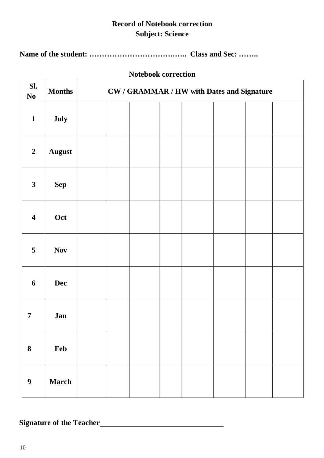# **Record of Notebook correction Subject: Science**

**Name of the student: …………………………….….. Class and Sec: ……..**

## **Notebook correction**

| SI.<br>$\bf No$         | <b>Months</b> | <b>CW / GRAMMAR / HW with Dates and Signature</b> |  |  |  |  |  |  |
|-------------------------|---------------|---------------------------------------------------|--|--|--|--|--|--|
| $\mathbf{1}$            | July          |                                                   |  |  |  |  |  |  |
| $\boldsymbol{2}$        | <b>August</b> |                                                   |  |  |  |  |  |  |
| $\mathbf{3}$            | <b>Sep</b>    |                                                   |  |  |  |  |  |  |
| $\overline{\mathbf{4}}$ | Oct           |                                                   |  |  |  |  |  |  |
| 5                       | <b>Nov</b>    |                                                   |  |  |  |  |  |  |
| 6                       | <b>Dec</b>    |                                                   |  |  |  |  |  |  |
| 7                       | Jan           |                                                   |  |  |  |  |  |  |
| $\bf{8}$                | Feb           |                                                   |  |  |  |  |  |  |
| $\boldsymbol{9}$        | <b>March</b>  |                                                   |  |  |  |  |  |  |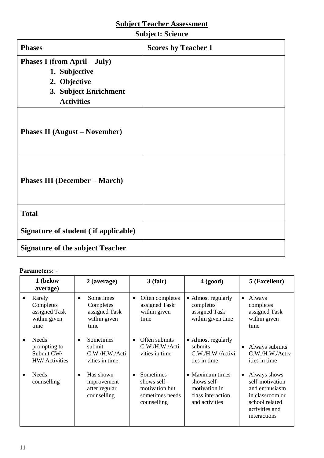| <b>Phases</b>                                                                                               | <b>Scores by Teacher 1</b> |
|-------------------------------------------------------------------------------------------------------------|----------------------------|
| Phases I (from April – July)<br>1. Subjective<br>2. Objective<br>3. Subject Enrichment<br><b>Activities</b> |                            |
| <b>Phases II</b> (August – November)                                                                        |                            |
| <b>Phases III (December – March)</b>                                                                        |                            |
| <b>Total</b>                                                                                                |                            |
| Signature of student (if applicable)                                                                        |                            |
| <b>Signature of the subject Teacher</b>                                                                     |                            |

| 1 (below<br>average)                                         | $2$ (average)                                                                | $3$ (fair)                                                                   | 4 (good)                                                                               | 5 (Excellent)                                                                                                            |
|--------------------------------------------------------------|------------------------------------------------------------------------------|------------------------------------------------------------------------------|----------------------------------------------------------------------------------------|--------------------------------------------------------------------------------------------------------------------------|
| Rarely<br>Completes<br>assigned Task<br>within given<br>time | Sometimes<br>$\bullet$<br>Completes<br>assigned Task<br>within given<br>time | Often completes<br>$\bullet$<br>assigned Task<br>within given<br>time        | • Almost regularly<br>completes<br>assigned Task<br>within given time                  | Always<br>$\bullet$<br>completes<br>assigned Task<br>within given<br>time                                                |
| <b>Needs</b><br>prompting to<br>Submit CW/<br>HW/ Activities | Sometimes<br>$\bullet$<br>submit<br>C.W./H.W./Acti<br>vities in time         | Often submits<br>$\bullet$<br>C.W./H.W./Acti<br>vities in time               | • Almost regularly<br>submits<br>C.W./H.W./Activi<br>ties in time                      | Always submits<br>$\bullet$<br>C.W./H.W./Activ<br>ities in time                                                          |
| Needs<br>counselling                                         | Has shown<br>$\bullet$<br>improvement<br>after regular<br>counselling        | Sometimes<br>shows self-<br>motivation but<br>sometimes needs<br>counselling | • Maximum times<br>shows self-<br>motivation in<br>class interaction<br>and activities | Always shows<br>self-motivation<br>and enthusiasm<br>in classroom or<br>school related<br>activities and<br>interactions |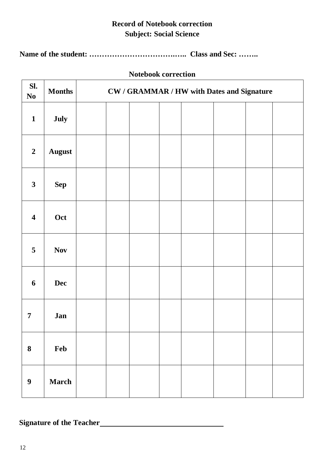# **Record of Notebook correction Subject: Social Science**

**Name of the student: …………………………….….. Class and Sec: ……..**

## **Notebook correction**

| SI.<br>$\bf No$         | <b>Months</b> | <b>CW / GRAMMAR / HW with Dates and Signature</b> |  |  |  |  |  |  |
|-------------------------|---------------|---------------------------------------------------|--|--|--|--|--|--|
| $\mathbf{1}$            | July          |                                                   |  |  |  |  |  |  |
| $\boldsymbol{2}$        | <b>August</b> |                                                   |  |  |  |  |  |  |
| $\mathbf{3}$            | <b>Sep</b>    |                                                   |  |  |  |  |  |  |
| $\overline{\mathbf{4}}$ | Oct           |                                                   |  |  |  |  |  |  |
| 5                       | <b>Nov</b>    |                                                   |  |  |  |  |  |  |
| 6                       | <b>Dec</b>    |                                                   |  |  |  |  |  |  |
| 7                       | Jan           |                                                   |  |  |  |  |  |  |
| $\bf{8}$                | Feb           |                                                   |  |  |  |  |  |  |
| $\boldsymbol{9}$        | <b>March</b>  |                                                   |  |  |  |  |  |  |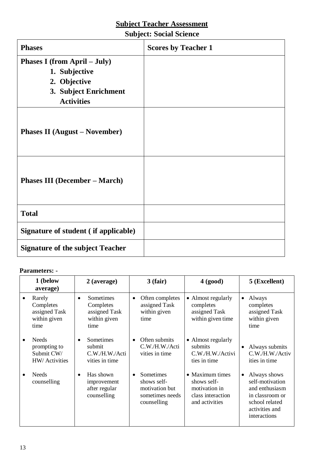# **Subject: Social Science**

| <b>Phases</b>                              | <b>Scores by Teacher 1</b> |
|--------------------------------------------|----------------------------|
| Phases I (from April – July)               |                            |
| 1. Subjective                              |                            |
| 2. Objective                               |                            |
| 3. Subject Enrichment<br><b>Activities</b> |                            |
| <b>Phases II</b> (August – November)       |                            |
| <b>Phases III (December – March)</b>       |                            |
| <b>Total</b>                               |                            |
| Signature of student (if applicable)       |                            |
| <b>Signature of the subject Teacher</b>    |                            |

| 1 (below<br>average)                                         | $2$ (average)                                                                | 3(fair)                                                                                   | 4 (good)                                                                               | 5 (Excellent)                                                                                                                         |
|--------------------------------------------------------------|------------------------------------------------------------------------------|-------------------------------------------------------------------------------------------|----------------------------------------------------------------------------------------|---------------------------------------------------------------------------------------------------------------------------------------|
| Rarely<br>Completes<br>assigned Task<br>within given<br>time | Sometimes<br>$\bullet$<br>Completes<br>assigned Task<br>within given<br>time | Often completes<br>٠<br>assigned Task<br>within given<br>time                             | • Almost regularly<br>completes<br>assigned Task<br>within given time                  | Always<br>$\bullet$<br>completes<br>assigned Task<br>within given<br>time                                                             |
| Needs<br>prompting to<br>Submit CW/<br>HW/ Activities        | Sometimes<br>٠<br>submit<br>C.W./H.W./Acti<br>vities in time                 | Often submits<br>$\bullet$<br>C.W./H.W./Acti<br>vities in time                            | • Almost regularly<br>submits<br>C.W./H.W./Activi<br>ties in time                      | Always submits<br>$\bullet$<br>C.W./H.W./Activ<br>ities in time                                                                       |
| Needs<br>counselling                                         | Has shown<br>٠<br>improvement<br>after regular<br>counselling                | Sometimes<br>$\bullet$<br>shows self-<br>motivation but<br>sometimes needs<br>counselling | • Maximum times<br>shows self-<br>motivation in<br>class interaction<br>and activities | Always shows<br>$\bullet$<br>self-motivation<br>and enthusiasm<br>in classroom or<br>school related<br>activities and<br>interactions |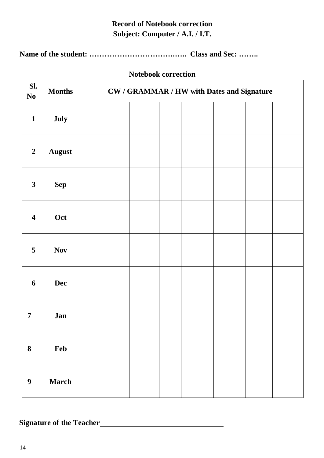# **Record of Notebook correction Subject: Computer / A.I. / I.T.**

**Name of the student: …………………………….….. Class and Sec: ……..**

|  | <b>Notebook correction</b> |
|--|----------------------------|
|--|----------------------------|

| SI.<br>$\bf No$         | <b>Months</b> | <b>CW / GRAMMAR / HW with Dates and Signature</b> |  |  |  |  |  |
|-------------------------|---------------|---------------------------------------------------|--|--|--|--|--|
| $\mathbf{1}$            | July          |                                                   |  |  |  |  |  |
| $\boldsymbol{2}$        | <b>August</b> |                                                   |  |  |  |  |  |
| $\mathbf{3}$            | ${\bf Sep}$   |                                                   |  |  |  |  |  |
| $\overline{\mathbf{4}}$ | Oct           |                                                   |  |  |  |  |  |
| 5                       | <b>Nov</b>    |                                                   |  |  |  |  |  |
| 6                       | <b>Dec</b>    |                                                   |  |  |  |  |  |
| $\overline{7}$          | Jan           |                                                   |  |  |  |  |  |
| ${\bf 8}$               | Feb           |                                                   |  |  |  |  |  |
| $\boldsymbol{9}$        | <b>March</b>  |                                                   |  |  |  |  |  |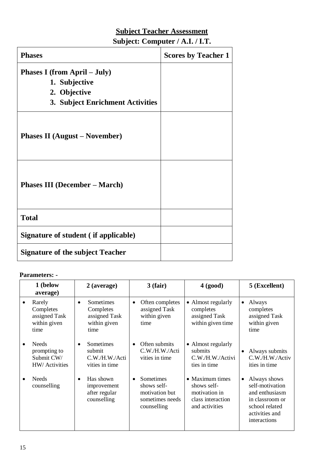# **Subject Teacher Assessment Subject: Computer / A.I. / I.T.**

| <b>Phases</b>                           | <b>Scores by Teacher 1</b> |
|-----------------------------------------|----------------------------|
| <b>Phases I (from April – July)</b>     |                            |
| 1. Subjective                           |                            |
| 2. Objective                            |                            |
| 3. Subject Enrichment Activities        |                            |
| <b>Phases II</b> (August – November)    |                            |
| <b>Phases III (December – March)</b>    |                            |
| <b>Total</b>                            |                            |
| Signature of student (if applicable)    |                            |
| <b>Signature of the subject Teacher</b> |                            |

|           | 1 (below<br>average)                                         |           | 2 (average)                                                     |           | $3$ (fair)                                                                   | 4 (good)                                                                               |           | 5 (Excellent)                                                                                                            |
|-----------|--------------------------------------------------------------|-----------|-----------------------------------------------------------------|-----------|------------------------------------------------------------------------------|----------------------------------------------------------------------------------------|-----------|--------------------------------------------------------------------------------------------------------------------------|
| $\bullet$ | Rarely<br>Completes<br>assigned Task<br>within given<br>time | $\bullet$ | Sometimes<br>Completes<br>assigned Task<br>within given<br>time | $\bullet$ | Often completes<br>assigned Task<br>within given<br>time                     | • Almost regularly<br>completes<br>assigned Task<br>within given time                  | $\bullet$ | Always<br>completes<br>assigned Task<br>within given<br>time                                                             |
| $\bullet$ | <b>Needs</b><br>prompting to<br>Submit CW/<br>HW/ Activities | $\bullet$ | Sometimes<br>submit<br>C.W./H.W./Acti<br>vities in time         | $\bullet$ | Often submits<br>C.W./H.W./Acti<br>vities in time                            | • Almost regularly<br>submits<br>C.W./H.W./Activi<br>ties in time                      | $\bullet$ | Always submits<br>C.W./H.W./Activ<br>ities in time                                                                       |
|           | <b>Needs</b><br>counselling                                  | $\bullet$ | Has shown<br>improvement<br>after regular<br>counselling        |           | Sometimes<br>shows self-<br>motivation but<br>sometimes needs<br>counselling | • Maximum times<br>shows self-<br>motivation in<br>class interaction<br>and activities | $\bullet$ | Always shows<br>self-motivation<br>and enthusiasm<br>in classroom or<br>school related<br>activities and<br>interactions |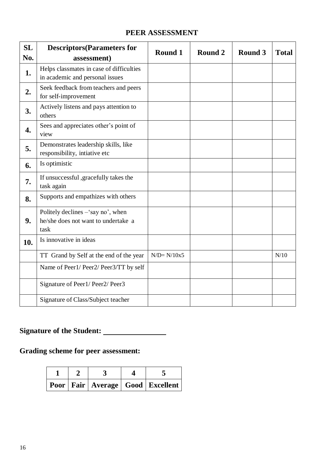## **PEER ASSESSMENT**

| <b>SL</b><br>No. | <b>Descriptors</b> (Parameters for<br>assessment)                                 | Round 1        | Round 2 | Round 3 | <b>Total</b> |
|------------------|-----------------------------------------------------------------------------------|----------------|---------|---------|--------------|
| 1.               | Helps classmates in case of difficulties<br>in academic and personal issues       |                |         |         |              |
| 2.               | Seek feedback from teachers and peers<br>for self-improvement                     |                |         |         |              |
| 3.               | Actively listens and pays attention to<br>others                                  |                |         |         |              |
| $\overline{4}$ . | Sees and appreciates other's point of<br>view                                     |                |         |         |              |
| 5.               | Demonstrates leadership skills, like<br>responsibility, intiative etc             |                |         |         |              |
| 6.               | Is optimistic                                                                     |                |         |         |              |
| 7.               | If unsuccessful , gracefully takes the<br>task again                              |                |         |         |              |
| 8.               | Supports and empathizes with others                                               |                |         |         |              |
| 9.               | Politely declines - 'say no', when<br>he/she does not want to undertake a<br>task |                |         |         |              |
| 10.              | Is innovative in ideas                                                            |                |         |         |              |
|                  | TT Grand by Self at the end of the year                                           | $N/D = N/10x5$ |         |         | N/10         |
|                  | Name of Peer1/ Peer2/ Peer3/TT by self                                            |                |         |         |              |
|                  | Signature of Peer1/ Peer2/ Peer3                                                  |                |         |         |              |
|                  | Signature of Class/Subject teacher                                                |                |         |         |              |

# **Signature of the Student:**

# **Grading scheme for peer assessment:**

|  |  | Poor   Fair   Average   Good   Excellent |
|--|--|------------------------------------------|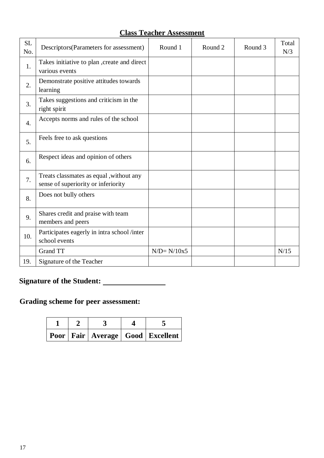| <b>Class Teacher Assessment</b> |  |
|---------------------------------|--|
|---------------------------------|--|

| <b>SL</b><br>No. | Descriptors (Parameters for assessment)                                        | Round 1        | Round <sub>2</sub> | Round 3 | Total<br>N/3 |
|------------------|--------------------------------------------------------------------------------|----------------|--------------------|---------|--------------|
| 1.               | Takes initiative to plan , create and direct<br>various events                 |                |                    |         |              |
| 2.               | Demonstrate positive attitudes towards<br>learning                             |                |                    |         |              |
| 3.               | Takes suggestions and criticism in the<br>right spirit                         |                |                    |         |              |
| $\overline{4}$ . | Accepts norms and rules of the school                                          |                |                    |         |              |
| 5.               | Feels free to ask questions                                                    |                |                    |         |              |
| 6.               | Respect ideas and opinion of others                                            |                |                    |         |              |
| 7.               | Treats classmates as equal, without any<br>sense of superiority or inferiority |                |                    |         |              |
| 8.               | Does not bully others                                                          |                |                    |         |              |
| 9.               | Shares credit and praise with team<br>members and peers                        |                |                    |         |              |
| 10.              | Participates eagerly in intra school /inter<br>school events                   |                |                    |         |              |
|                  | <b>Grand TT</b>                                                                | $N/D = N/10x5$ |                    |         | N/15         |
| 19.              | Signature of the Teacher                                                       |                |                    |         |              |

# **Signature of the Student:**

# **Grading scheme for peer assessment:**

|  |  | Poor   Fair   Average   Good   Excellent |
|--|--|------------------------------------------|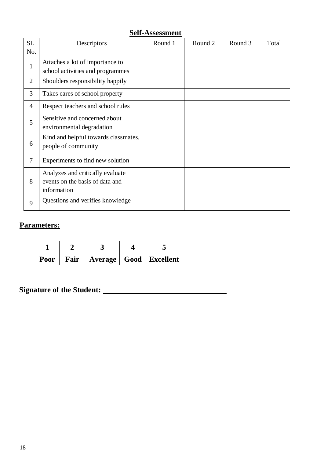|                | <u>JUIL 1 ADDUDDIIIUIIU</u>                                                        |         |         |         |       |  |  |
|----------------|------------------------------------------------------------------------------------|---------|---------|---------|-------|--|--|
| <b>SL</b>      | Descriptors                                                                        | Round 1 | Round 2 | Round 3 | Total |  |  |
| No.            |                                                                                    |         |         |         |       |  |  |
| $\mathbf{1}$   | Attaches a lot of importance to<br>school activities and programmes                |         |         |         |       |  |  |
| $\overline{2}$ | Shoulders responsibility happily                                                   |         |         |         |       |  |  |
| 3              | Takes cares of school property                                                     |         |         |         |       |  |  |
| $\overline{4}$ | Respect teachers and school rules                                                  |         |         |         |       |  |  |
| 5              | Sensitive and concerned about<br>environmental degradation                         |         |         |         |       |  |  |
| 6              | Kind and helpful towards classmates,<br>people of community                        |         |         |         |       |  |  |
| $\overline{7}$ | Experiments to find new solution                                                   |         |         |         |       |  |  |
| 8              | Analyzes and critically evaluate<br>events on the basis of data and<br>information |         |         |         |       |  |  |
| 9              | Questions and verifies knowledge                                                   |         |         |         |       |  |  |

# **Parameters:**

|  |  | Poor   Fair   Average   Good   Excellent |
|--|--|------------------------------------------|

**Signature of the Student:**

#### **Self-Assessment**